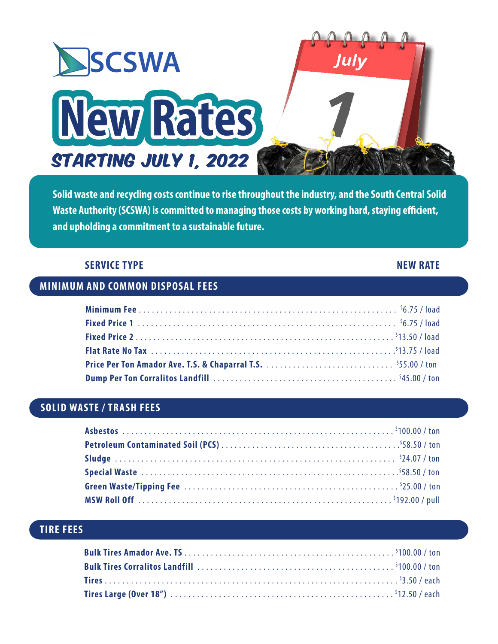

**Solid waste and recycling costs continue to rise throughout the industry, and the South Central Solid Waste Authority (SCSWA) is committed to managing those costs by working hard, staying efficient, and upholding a commitment to a sustainable future.**

#### **SERVICE TYPE** NEW RATE

#### **MINIMUM AND COMMON DISPOSAL FEES**

# **SOLID WASTE / TRASH FEES**

# **TIRE FEES**